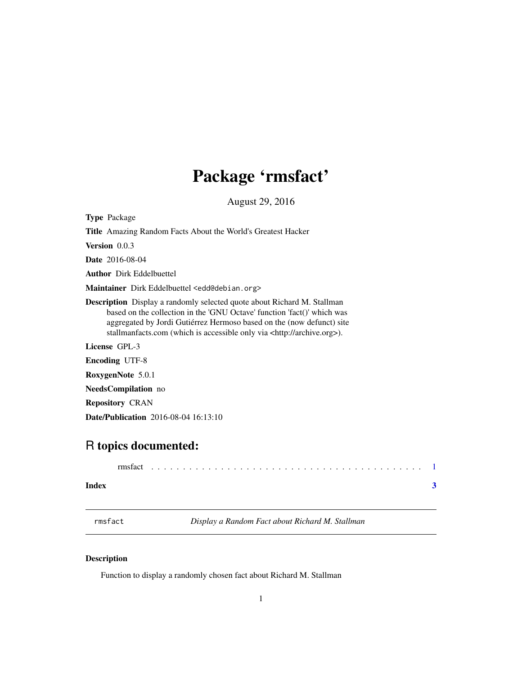## <span id="page-0-0"></span>Package 'rmsfact'

August 29, 2016

<span id="page-0-1"></span>Type Package

Title Amazing Random Facts About the World's Greatest Hacker

Version 0.0.3

Date 2016-08-04

Author Dirk Eddelbuettel

Maintainer Dirk Eddelbuettel <edd@debian.org>

Description Display a randomly selected quote about Richard M. Stallman based on the collection in the 'GNU Octave' function 'fact()' which was aggregated by Jordi Gutiérrez Hermoso based on the (now defunct) site stallmanfacts.com (which is accessible only via <http://archive.org>).

License GPL-3

Encoding UTF-8

RoxygenNote 5.0.1

NeedsCompilation no

Repository CRAN

Date/Publication 2016-08-04 16:13:10

### R topics documented:

| Index |  |  |  |  |  |  |  |  |  |  |  |  |  |  |  |  |  |  |  |  |
|-------|--|--|--|--|--|--|--|--|--|--|--|--|--|--|--|--|--|--|--|--|

rmsfact *Display a Random Fact about Richard M. Stallman*

#### Description

Function to display a randomly chosen fact about Richard M. Stallman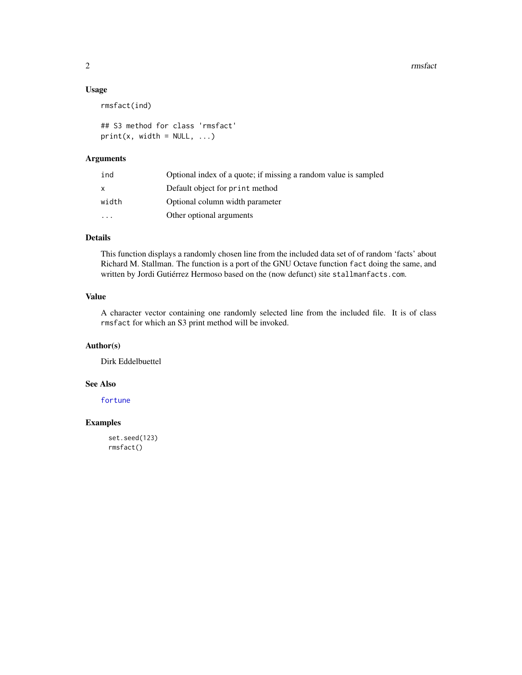#### <span id="page-1-0"></span>Usage

rmsfact(ind)

## S3 method for class 'rmsfact'  $print(x, width = NULL, ...)$ 

#### Arguments

| ind                     | Optional index of a quote; if missing a random value is sampled |
|-------------------------|-----------------------------------------------------------------|
| X                       | Default object for print method                                 |
| width                   | Optional column width parameter                                 |
| $\cdot$ $\cdot$ $\cdot$ | Other optional arguments                                        |

#### Details

This function displays a randomly chosen line from the included data set of of random 'facts' about Richard M. Stallman. The function is a port of the GNU Octave function fact doing the same, and written by Jordi Gutiérrez Hermoso based on the (now defunct) site stallmanfacts.com.

#### Value

A character vector containing one randomly selected line from the included file. It is of class rmsfact for which an S3 print method will be invoked.

#### Author(s)

Dirk Eddelbuettel

#### See Also

[fortune](#page-0-1)

#### Examples

set.seed(123) rmsfact()